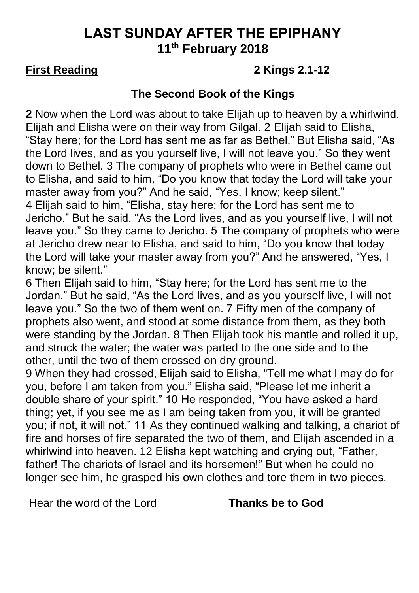# **LAST SUNDAY AFTER THE EPIPHANY 11th February 2018**

### **First Reading 2 Kings 2.1-12**

#### **The Second Book of the Kings**

**2** Now when the Lord was about to take Elijah up to heaven by a whirlwind, Elijah and Elisha were on their way from Gilgal. 2 Elijah said to Elisha, "Stay here; for the Lord has sent me as far as Bethel." But Elisha said, "As the Lord lives, and as you yourself live, I will not leave you." So they went down to Bethel. 3 The company of prophets who were in Bethel came out to Elisha, and said to him, "Do you know that today the Lord will take your master away from you?" And he said, "Yes, I know; keep silent." 4 Elijah said to him, "Elisha, stay here; for the Lord has sent me to Jericho." But he said, "As the Lord lives, and as you yourself live, I will not leave you." So they came to Jericho. 5 The company of prophets who were at Jericho drew near to Elisha, and said to him, "Do you know that today the Lord will take your master away from you?" And he answered, "Yes, I know; be silent."

6 Then Elijah said to him, "Stay here; for the Lord has sent me to the Jordan." But he said, "As the Lord lives, and as you yourself live, I will not leave you." So the two of them went on. 7 Fifty men of the company of prophets also went, and stood at some distance from them, as they both were standing by the Jordan. 8 Then Elijah took his mantle and rolled it up, and struck the water; the water was parted to the one side and to the other, until the two of them crossed on dry ground.

9 When they had crossed, Elijah said to Elisha, "Tell me what I may do for you, before I am taken from you." Elisha said, "Please let me inherit a double share of your spirit." 10 He responded, "You have asked a hard thing; yet, if you see me as I am being taken from you, it will be granted you; if not, it will not." 11 As they continued walking and talking, a chariot of fire and horses of fire separated the two of them, and Elijah ascended in a whirlwind into heaven. 12 Elisha kept watching and crying out, "Father, father! The chariots of Israel and its horsemen!" But when he could no longer see him, he grasped his own clothes and tore them in two pieces.

Hear the word of the Lord **Thanks be to God**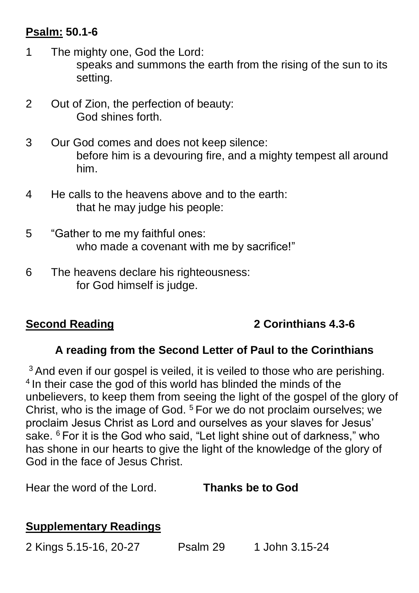## **Psalm: 50.1-6**

- 1 The mighty one, God the Lord: speaks and summons the earth from the rising of the sun to its setting.
- 2 Out of Zion, the perfection of beauty: God shines forth.
- 3 Our God comes and does not keep silence: before him is a devouring fire, and a mighty tempest all around him.
- 4 He calls to the heavens above and to the earth: that he may judge his people:
- 5 "Gather to me my faithful ones: who made a covenant with me by sacrifice!"
- 6 The heavens declare his righteousness: for God himself is judge.

# **Second Reading 2 Corinthians 4.3-6**

### **A reading from the Second Letter of Paul to the Corinthians**

<sup>3</sup> And even if our gospel is veiled, it is veiled to those who are perishing. <sup>4</sup> In their case the god of this world has blinded the minds of the unbelievers, to keep them from seeing the light of the gospel of the glory of Christ, who is the image of God. <sup>5</sup> For we do not proclaim ourselves; we proclaim Jesus Christ as Lord and ourselves as your slaves for Jesus' sake. <sup>6</sup> For it is the God who said, "Let light shine out of darkness," who has shone in our hearts to give the light of the knowledge of the glory of God in the face of Jesus Christ.

Hear the word of the Lord. **Thanks be to God**

### **Supplementary Readings**

2 Kings 5.15-16, 20-27 Psalm 29 1 John 3.15-24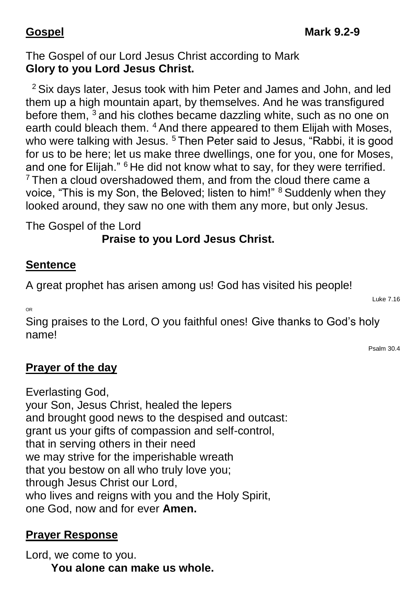The Gospel of our Lord Jesus Christ according to Mark **Glory to you Lord Jesus Christ.**

<sup>2</sup> Six days later, Jesus took with him Peter and James and John, and led them up a high mountain apart, by themselves. And he was transfigured before them, <sup>3</sup> and his clothes became dazzling white, such as no one on earth could bleach them. <sup>4</sup> And there appeared to them Elijah with Moses, who were talking with Jesus.<sup>5</sup> Then Peter said to Jesus, "Rabbi, it is good for us to be here; let us make three dwellings, one for you, one for Moses, and one for Elijah." <sup>6</sup> He did not know what to say, for they were terrified.  $7$  Then a cloud overshadowed them, and from the cloud there came a voice, "This is my Son, the Beloved; listen to him!" <sup>8</sup> Suddenly when they looked around, they saw no one with them any more, but only Jesus.

The Gospel of the Lord

# **Praise to you Lord Jesus Christ.**

### **Sentence**

OR

A great prophet has arisen among us! God has visited his people!

Luke 7.16

Sing praises to the Lord, O you faithful ones! Give thanks to God's holy name!

Psalm 30.4

# **Prayer of the day**

Everlasting God, your Son, Jesus Christ, healed the lepers and brought good news to the despised and outcast: grant us your gifts of compassion and self-control, that in serving others in their need we may strive for the imperishable wreath that you bestow on all who truly love you; through Jesus Christ our Lord, who lives and reigns with you and the Holy Spirit, one God, now and for ever **Amen.**

# **Prayer Response**

Lord, we come to you. **You alone can make us whole.**